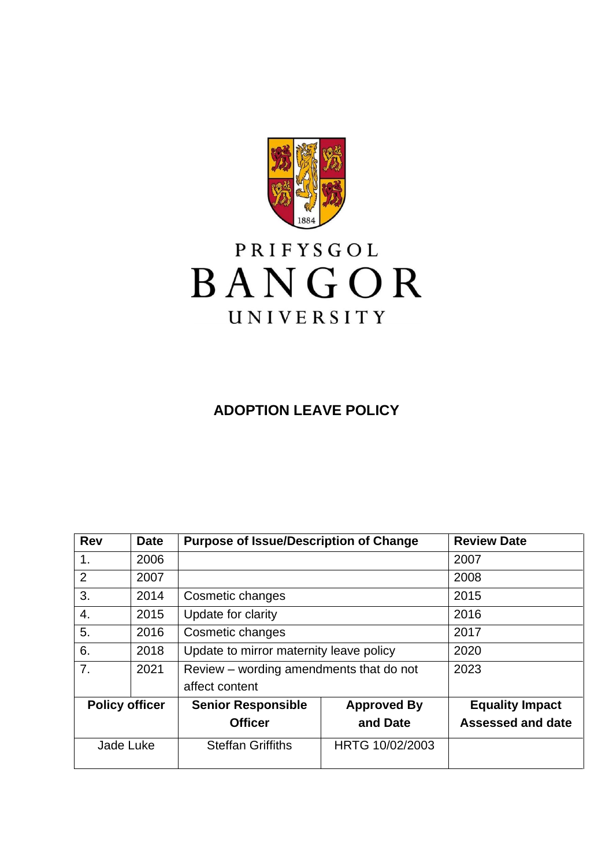

# PRIFYSGOL BANGOR UNIVERSITY

## **ADOPTION LEAVE POLICY**

| <b>Rev</b>            | <b>Purpose of Issue/Description of Change</b><br><b>Date</b> |                                         | <b>Review Date</b> |                          |
|-----------------------|--------------------------------------------------------------|-----------------------------------------|--------------------|--------------------------|
| 1.                    | 2006                                                         |                                         |                    | 2007                     |
| $\overline{2}$        | 2007                                                         |                                         |                    | 2008                     |
| 3.                    | 2014                                                         | Cosmetic changes                        |                    | 2015                     |
| 4.                    | 2015                                                         | Update for clarity                      |                    | 2016                     |
| 5.                    | 2016                                                         | Cosmetic changes                        |                    | 2017                     |
| 6.                    | 2018                                                         | Update to mirror maternity leave policy |                    | 2020                     |
| 7.                    | 2021                                                         | Review – wording amendments that do not |                    | 2023                     |
|                       |                                                              | affect content                          |                    |                          |
| <b>Policy officer</b> |                                                              | <b>Senior Responsible</b>               | <b>Approved By</b> | <b>Equality Impact</b>   |
|                       |                                                              | <b>Officer</b>                          | and Date           | <b>Assessed and date</b> |
| Jade Luke             |                                                              | <b>Steffan Griffiths</b>                | HRTG 10/02/2003    |                          |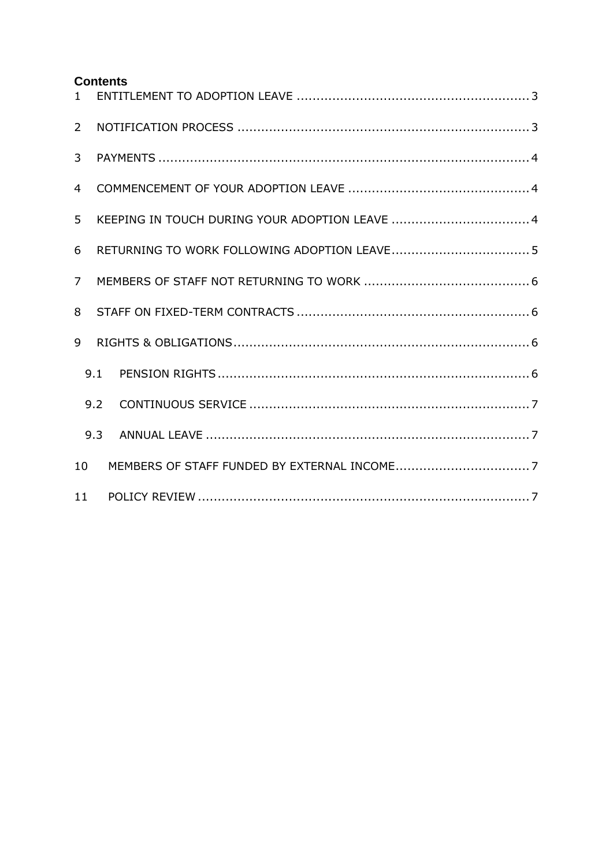#### **Contents**

| 1              |     |  |  |  |  |  |
|----------------|-----|--|--|--|--|--|
| $\overline{2}$ |     |  |  |  |  |  |
| 3              |     |  |  |  |  |  |
| $\overline{4}$ |     |  |  |  |  |  |
| 5              |     |  |  |  |  |  |
| 6              |     |  |  |  |  |  |
| $\overline{7}$ |     |  |  |  |  |  |
| 8              |     |  |  |  |  |  |
| 9              |     |  |  |  |  |  |
|                | 9.1 |  |  |  |  |  |
|                | 9.2 |  |  |  |  |  |
|                | 9.3 |  |  |  |  |  |
| 10             |     |  |  |  |  |  |
| 11             |     |  |  |  |  |  |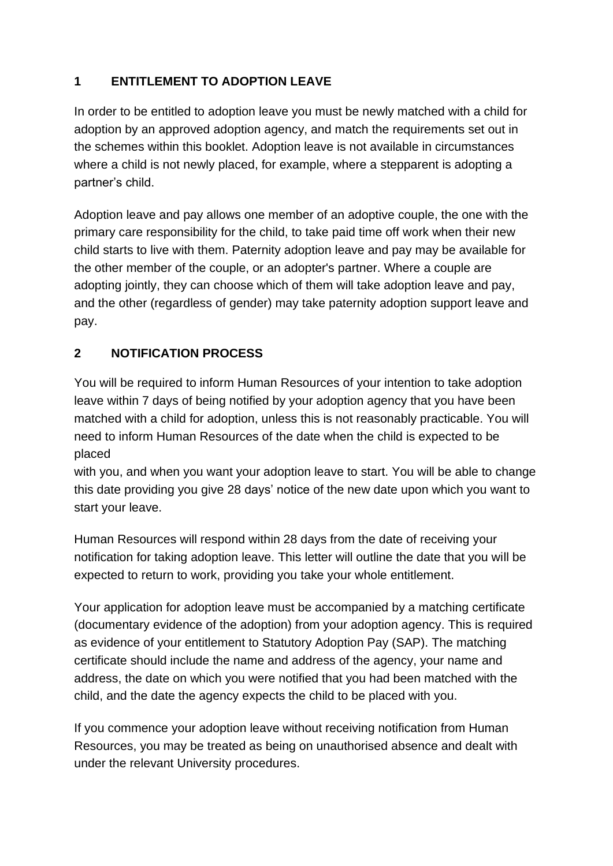## <span id="page-2-0"></span>**1 ENTITLEMENT TO ADOPTION LEAVE**

In order to be entitled to adoption leave you must be newly matched with a child for adoption by an approved adoption agency, and match the requirements set out in the schemes within this booklet. Adoption leave is not available in circumstances where a child is not newly placed, for example, where a stepparent is adopting a partner's child.

Adoption leave and pay allows one member of an adoptive couple, the one with the primary care responsibility for the child, to take paid time off work when their new child starts to live with them. Paternity adoption leave and pay may be available for the other member of the couple, or an adopter's partner. Where a couple are adopting jointly, they can choose which of them will take adoption leave and pay, and the other (regardless of gender) may take paternity adoption support leave and pay.

## <span id="page-2-1"></span>**2 NOTIFICATION PROCESS**

You will be required to inform Human Resources of your intention to take adoption leave within 7 days of being notified by your adoption agency that you have been matched with a child for adoption, unless this is not reasonably practicable. You will need to inform Human Resources of the date when the child is expected to be placed

with you, and when you want your adoption leave to start. You will be able to change this date providing you give 28 days' notice of the new date upon which you want to start your leave.

Human Resources will respond within 28 days from the date of receiving your notification for taking adoption leave. This letter will outline the date that you will be expected to return to work, providing you take your whole entitlement.

Your application for adoption leave must be accompanied by a matching certificate (documentary evidence of the adoption) from your adoption agency. This is required as evidence of your entitlement to Statutory Adoption Pay (SAP). The matching certificate should include the name and address of the agency, your name and address, the date on which you were notified that you had been matched with the child, and the date the agency expects the child to be placed with you.

If you commence your adoption leave without receiving notification from Human Resources, you may be treated as being on unauthorised absence and dealt with under the relevant University procedures.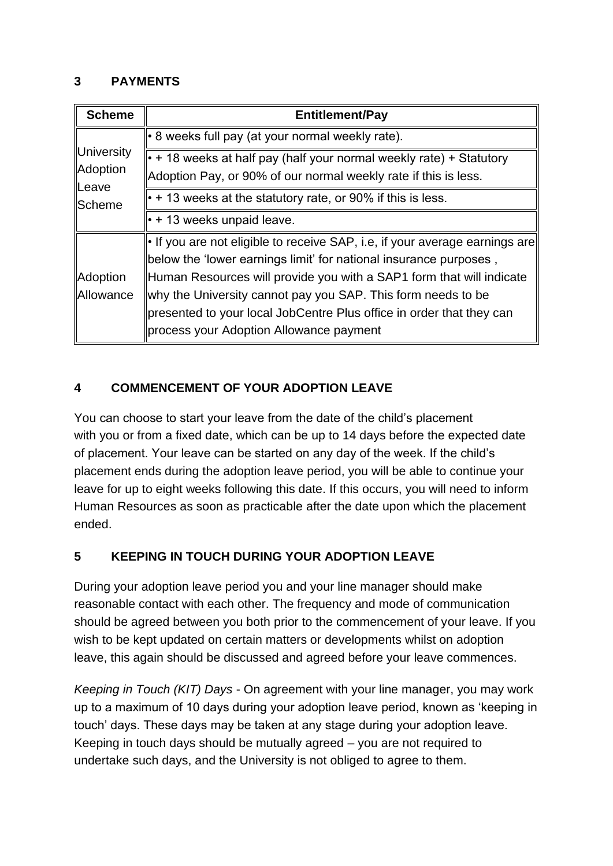#### <span id="page-3-0"></span>**3 PAYMENTS**

| <b>Scheme</b>                   | <b>Entitlement/Pay</b>                                                            |
|---------------------------------|-----------------------------------------------------------------------------------|
|                                 | • 8 weeks full pay (at your normal weekly rate).                                  |
| University<br>Adoption<br>Leave | $\cdot$ + 18 weeks at half pay (half your normal weekly rate) + Statutory         |
|                                 | Adoption Pay, or 90% of our normal weekly rate if this is less.                   |
| ∥Scheme                         | $\cdot$ + 13 weeks at the statutory rate, or 90% if this is less.                 |
|                                 | $\cdot$ + 13 weeks unpaid leave.                                                  |
|                                 | $\cdot$ If you are not eligible to receive SAP, i.e, if your average earnings are |
|                                 | below the 'lower earnings limit' for national insurance purposes,                 |
| Adoption                        | Human Resources will provide you with a SAP1 form that will indicate              |
| <b>Allowance</b>                | why the University cannot pay you SAP. This form needs to be                      |
|                                 | presented to your local JobCentre Plus office in order that they can              |
|                                 | process your Adoption Allowance payment                                           |

## <span id="page-3-1"></span>**4 COMMENCEMENT OF YOUR ADOPTION LEAVE**

You can choose to start your leave from the date of the child's placement with you or from a fixed date, which can be up to 14 days before the expected date of placement. Your leave can be started on any day of the week. If the child's placement ends during the adoption leave period, you will be able to continue your leave for up to eight weeks following this date. If this occurs, you will need to inform Human Resources as soon as practicable after the date upon which the placement ended.

## <span id="page-3-2"></span>**5 KEEPING IN TOUCH DURING YOUR ADOPTION LEAVE**

During your adoption leave period you and your line manager should make reasonable contact with each other. The frequency and mode of communication should be agreed between you both prior to the commencement of your leave. If you wish to be kept updated on certain matters or developments whilst on adoption leave, this again should be discussed and agreed before your leave commences.

*Keeping in Touch (KIT) Days* - On agreement with your line manager, you may work up to a maximum of 10 days during your adoption leave period, known as 'keeping in touch' days. These days may be taken at any stage during your adoption leave. Keeping in touch days should be mutually agreed – you are not required to undertake such days, and the University is not obliged to agree to them.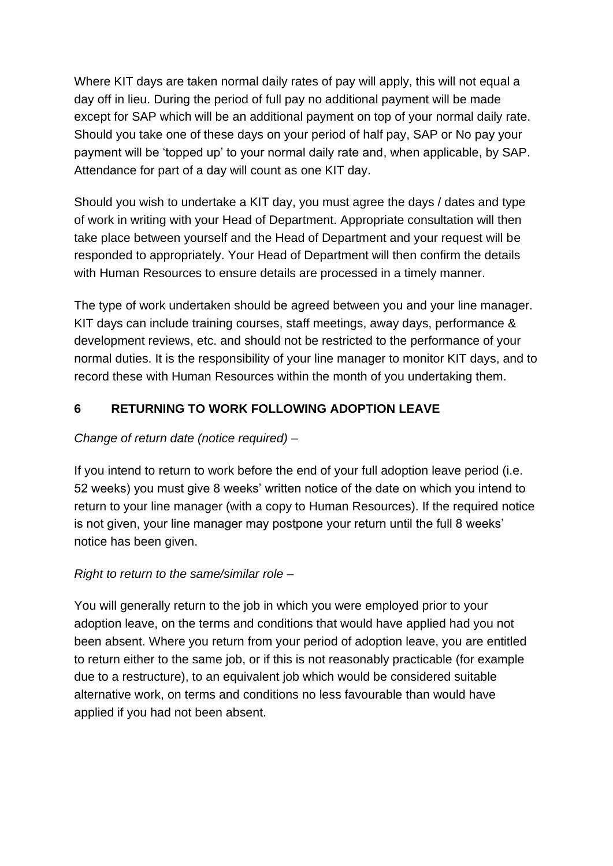Where KIT days are taken normal daily rates of pay will apply, this will not equal a day off in lieu. During the period of full pay no additional payment will be made except for SAP which will be an additional payment on top of your normal daily rate. Should you take one of these days on your period of half pay, SAP or No pay your payment will be 'topped up' to your normal daily rate and, when applicable, by SAP. Attendance for part of a day will count as one KIT day.

Should you wish to undertake a KIT day, you must agree the days / dates and type of work in writing with your Head of Department. Appropriate consultation will then take place between yourself and the Head of Department and your request will be responded to appropriately. Your Head of Department will then confirm the details with Human Resources to ensure details are processed in a timely manner.

The type of work undertaken should be agreed between you and your line manager. KIT days can include training courses, staff meetings, away days, performance & development reviews, etc. and should not be restricted to the performance of your normal duties. It is the responsibility of your line manager to monitor KIT days, and to record these with Human Resources within the month of you undertaking them.

## <span id="page-4-0"></span>**6 RETURNING TO WORK FOLLOWING ADOPTION LEAVE**

## *Change of return date (notice required) –*

If you intend to return to work before the end of your full adoption leave period (i.e. 52 weeks) you must give 8 weeks' written notice of the date on which you intend to return to your line manager (with a copy to Human Resources). If the required notice is not given, your line manager may postpone your return until the full 8 weeks' notice has been given.

## *Right to return to the same/similar role –*

You will generally return to the job in which you were employed prior to your adoption leave, on the terms and conditions that would have applied had you not been absent. Where you return from your period of adoption leave, you are entitled to return either to the same job, or if this is not reasonably practicable (for example due to a restructure), to an equivalent job which would be considered suitable alternative work, on terms and conditions no less favourable than would have applied if you had not been absent.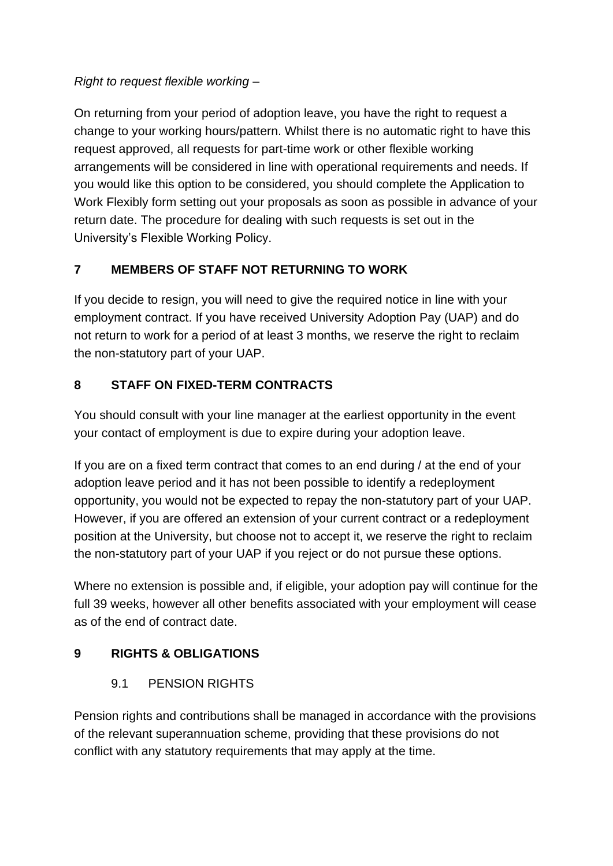## *Right to request flexible working –*

On returning from your period of adoption leave, you have the right to request a change to your working hours/pattern. Whilst there is no automatic right to have this request approved, all requests for part-time work or other flexible working arrangements will be considered in line with operational requirements and needs. If you would like this option to be considered, you should complete the Application to Work Flexibly form setting out your proposals as soon as possible in advance of your return date. The procedure for dealing with such requests is set out in the University's Flexible Working Policy.

## <span id="page-5-0"></span>**7 MEMBERS OF STAFF NOT RETURNING TO WORK**

If you decide to resign, you will need to give the required notice in line with your employment contract. If you have received University Adoption Pay (UAP) and do not return to work for a period of at least 3 months, we reserve the right to reclaim the non-statutory part of your UAP.

## <span id="page-5-1"></span>**8 STAFF ON FIXED-TERM CONTRACTS**

You should consult with your line manager at the earliest opportunity in the event your contact of employment is due to expire during your adoption leave.

If you are on a fixed term contract that comes to an end during / at the end of your adoption leave period and it has not been possible to identify a redeployment opportunity, you would not be expected to repay the non-statutory part of your UAP. However, if you are offered an extension of your current contract or a redeployment position at the University, but choose not to accept it, we reserve the right to reclaim the non-statutory part of your UAP if you reject or do not pursue these options.

Where no extension is possible and, if eligible, your adoption pay will continue for the full 39 weeks, however all other benefits associated with your employment will cease as of the end of contract date.

## <span id="page-5-3"></span><span id="page-5-2"></span>**9 RIGHTS & OBLIGATIONS**

## 9.1 PENSION RIGHTS

Pension rights and contributions shall be managed in accordance with the provisions of the relevant superannuation scheme, providing that these provisions do not conflict with any statutory requirements that may apply at the time.